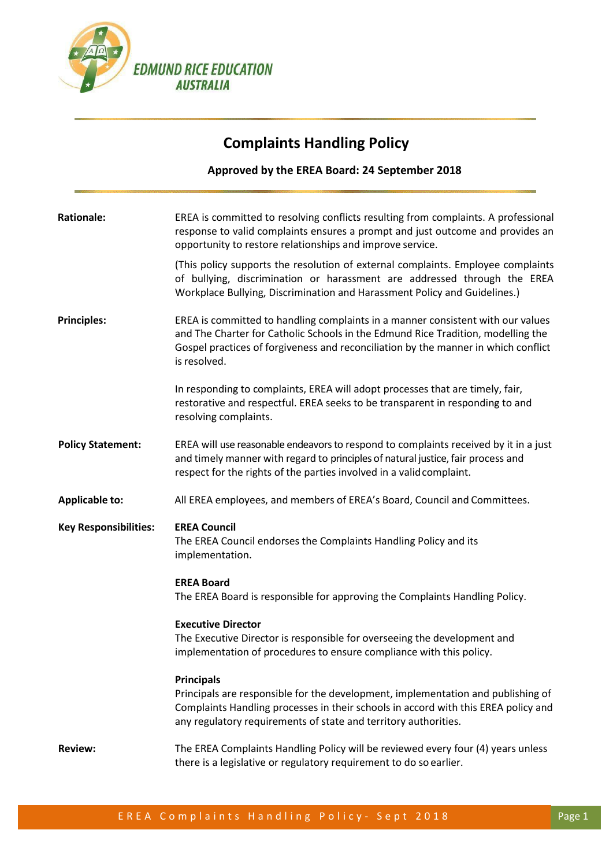

### **Complaints Handling Policy**

**Approved by the EREA Board: 24 September 2018**

| <b>Rationale:</b>            | EREA is committed to resolving conflicts resulting from complaints. A professional<br>response to valid complaints ensures a prompt and just outcome and provides an<br>opportunity to restore relationships and improve service.                                         |
|------------------------------|---------------------------------------------------------------------------------------------------------------------------------------------------------------------------------------------------------------------------------------------------------------------------|
|                              | (This policy supports the resolution of external complaints. Employee complaints<br>of bullying, discrimination or harassment are addressed through the EREA<br>Workplace Bullying, Discrimination and Harassment Policy and Guidelines.)                                 |
| <b>Principles:</b>           | EREA is committed to handling complaints in a manner consistent with our values<br>and The Charter for Catholic Schools in the Edmund Rice Tradition, modelling the<br>Gospel practices of forgiveness and reconciliation by the manner in which conflict<br>is resolved. |
|                              | In responding to complaints, EREA will adopt processes that are timely, fair,<br>restorative and respectful. EREA seeks to be transparent in responding to and<br>resolving complaints.                                                                                   |
| <b>Policy Statement:</b>     | EREA will use reasonable endeavors to respond to complaints received by it in a just<br>and timely manner with regard to principles of natural justice, fair process and<br>respect for the rights of the parties involved in a valid complaint.                          |
|                              |                                                                                                                                                                                                                                                                           |
| <b>Applicable to:</b>        | All EREA employees, and members of EREA's Board, Council and Committees.                                                                                                                                                                                                  |
| <b>Key Responsibilities:</b> | <b>EREA Council</b><br>The EREA Council endorses the Complaints Handling Policy and its<br>implementation.                                                                                                                                                                |
|                              | <b>EREA Board</b><br>The EREA Board is responsible for approving the Complaints Handling Policy.                                                                                                                                                                          |
|                              | <b>Executive Director</b><br>The Executive Director is responsible for overseeing the development and<br>implementation of procedures to ensure compliance with this policy.                                                                                              |
|                              | <b>Principals</b><br>Principals are responsible for the development, implementation and publishing of<br>Complaints Handling processes in their schools in accord with this EREA policy and<br>any regulatory requirements of state and territory authorities.            |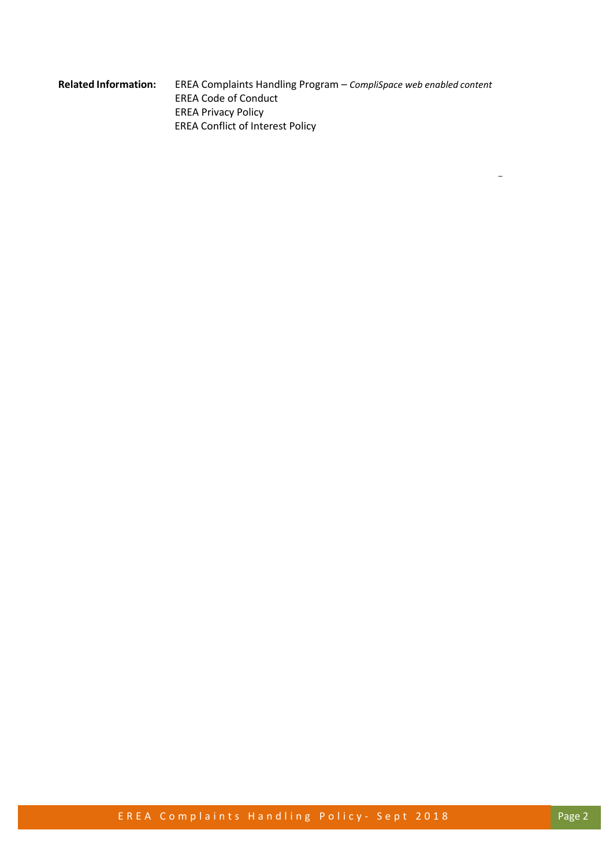#### **Related Information:** EREA Complaints Handling Program – *CompliSpace web enabled content* EREA Code of Conduct EREA Privacy Policy EREA Conflict of Interest Policy

E R E A C o m p l a i n t s H a n d l i n g P o l i c y - S e p t 2018

\_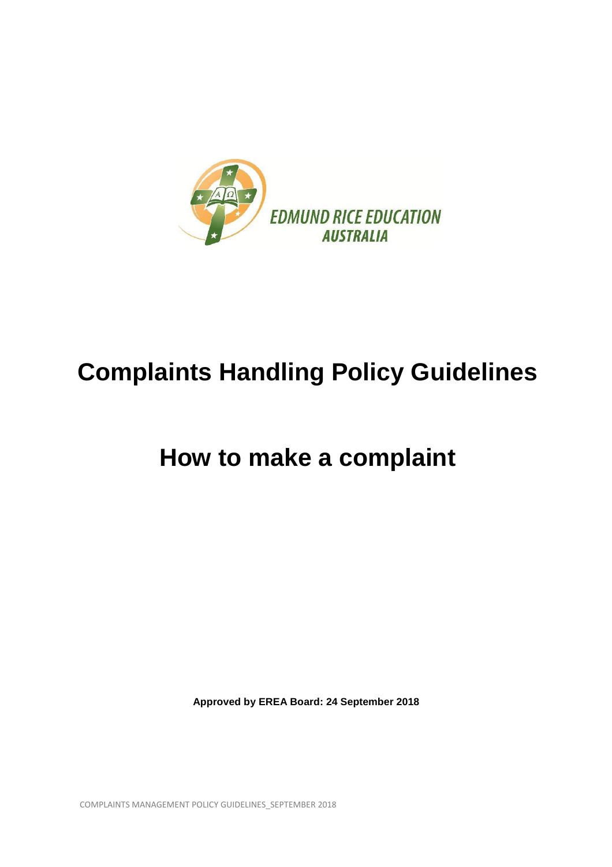

# **Complaints Handling Policy Guidelines**

## **How to make a complaint**

**Approved by EREA Board: 24 September 2018**

COMPLAINTS MANAGEMENT POLICY GUIDELINES\_SEPTEMBER 2018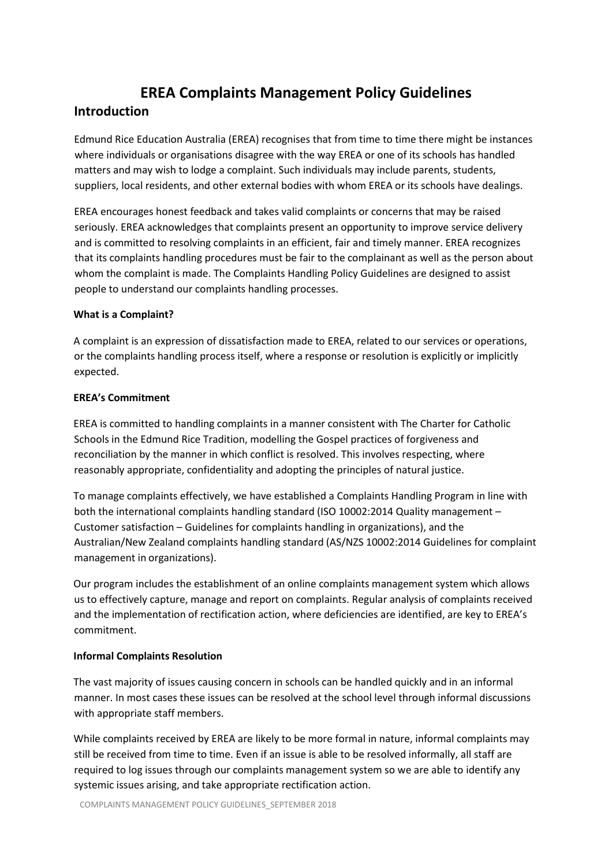### **EREA Complaints Management Policy Guidelines**

#### **Introduction**

Edmund Rice Education Australia (EREA) recognises that from time to time there might be instances where individuals or organisations disagree with the way EREA or one of its schools has handled matters and may wish to lodge a complaint. Such individuals may include parents, students, suppliers, local residents, and other external bodies with whom EREA or its schools have dealings.

EREA encourages honest feedback and takes valid complaints or concerns that may be raised seriously. EREA acknowledges that complaints present an opportunity to improve service delivery and is committed to resolving complaints in an efficient, fair and timely manner. EREA recognizes that its complaints handling procedures must be fair to the complainant as well as the person about whom the complaint is made. The Complaints Handling Policy Guidelines are designed to assist people to understand our complaints handling processes.

#### **What is a Complaint?**

A complaint is an expression of dissatisfaction made to EREA, related to our services or operations, or the complaints handling process itself, where a response or resolution is explicitly or implicitly expected.

#### **EREA's Commitment**

EREA is committed to handling complaints in a manner consistent with The Charter for Catholic Schools in the Edmund Rice Tradition, modelling the Gospel practices of forgiveness and reconciliation by the manner in which conflict is resolved. This involves respecting, where reasonably appropriate, confidentiality and adopting the principles of natural justice.

To manage complaints effectively, we have established a Complaints Handling Program in line with both the international complaints handling standard (ISO 10002:2014 Quality management – Customer satisfaction – Guidelines for complaints handling in organizations), and the Australian/New Zealand complaints handling standard (AS/NZS 10002:2014 Guidelines for complaint management in organizations).

Our program includes the establishment of an online complaints management system which allows us to effectively capture, manage and report on complaints. Regular analysis of complaints received and the implementation of rectification action, where deficiencies are identified, are key to EREA's commitment.

#### **Informal Complaints Resolution**

The vast majority of issues causing concern in schools can be handled quickly and in an informal manner. In most cases these issues can be resolved at the school level through informal discussions with appropriate staff members.

While complaints received by EREA are likely to be more formal in nature, informal complaints may still be received from time to time. Even if an issue is able to be resolved informally, all staff are required to log issues through our complaints management system so we are able to identify any systemic issues arising, and take appropriate rectification action.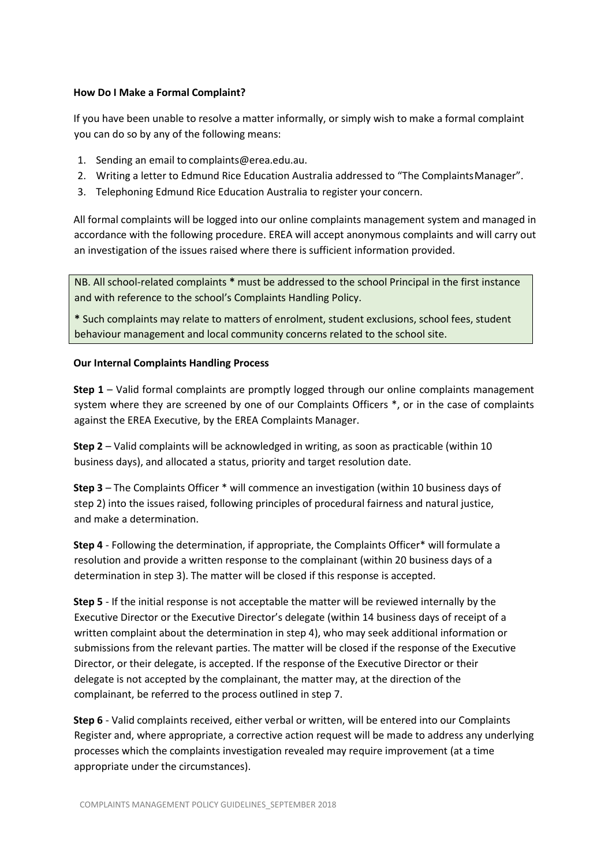#### **How Do I Make a Formal Complaint?**

If you have been unable to resolve a matter informally, or simply wish to make a formal complaint you can do so by any of the following means:

- 1. Sending an email to [complaints@erea.edu.au.](mailto:complaints@erea.edu.au)
- 2. Writing a letter to Edmund Rice Education Australia addressed to "The ComplaintsManager".
- 3. Telephoning Edmund Rice Education Australia to register your concern.

All formal complaints will be logged into our online complaints management system and managed in accordance with the following procedure. EREA will accept anonymous complaints and will carry out an investigation of the issues raised where there is sufficient information provided.

NB. All school-related complaints **\*** must be addressed to the school Principal in the first instance and with reference to the school's Complaints Handling Policy.

**\*** Such complaints may relate to matters of enrolment, student exclusions, school fees, student behaviour management and local community concerns related to the school site.

#### **Our Internal Complaints Handling Process**

**Step 1** – Valid formal complaints are promptly logged through our online complaints management system where they are screened by one of our Complaints Officers \*, or in the case of complaints against the EREA Executive, by the EREA Complaints Manager.

**Step 2** – Valid complaints will be acknowledged in writing, as soon as practicable (within 10 business days), and allocated a status, priority and target resolution date.

**Step 3** – The Complaints Officer \* will commence an investigation (within 10 business days of step 2) into the issues raised, following principles of procedural fairness and natural justice, and make a determination.

**Step 4** - Following the determination, if appropriate, the Complaints Officer\* will formulate a resolution and provide a written response to the complainant (within 20 business days of a determination in step 3). The matter will be closed if this response is accepted.

**Step 5** - If the initial response is not acceptable the matter will be reviewed internally by the Executive Director or the Executive Director's delegate (within 14 business days of receipt of a written complaint about the determination in step 4), who may seek additional information or submissions from the relevant parties. The matter will be closed if the response of the Executive Director, or their delegate, is accepted. If the response of the Executive Director or their delegate is not accepted by the complainant, the matter may, at the direction of the complainant, be referred to the process outlined in step 7.

**Step 6** - Valid complaints received, either verbal or written, will be entered into our Complaints Register and, where appropriate, a corrective action request will be made to address any underlying processes which the complaints investigation revealed may require improvement (at a time appropriate under the circumstances).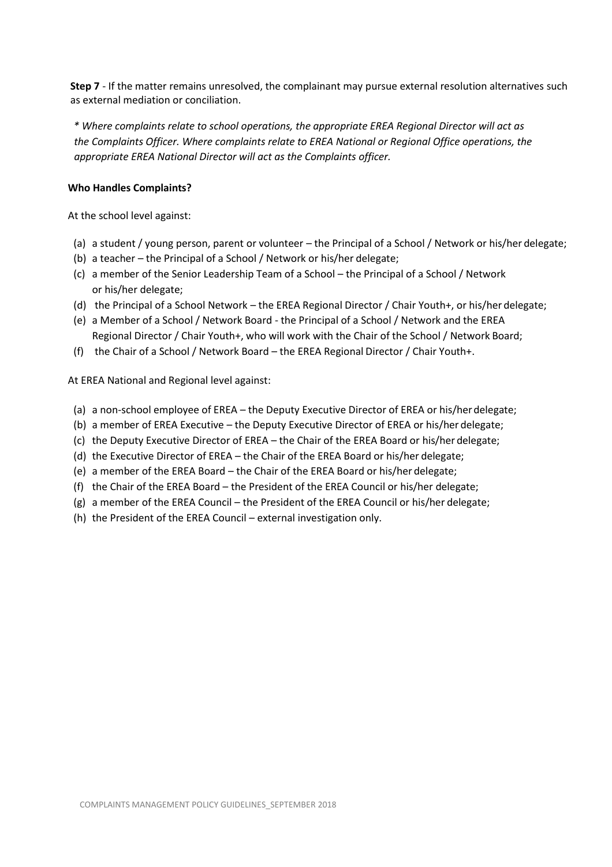**Step 7** - If the matter remains unresolved, the complainant may pursue external resolution alternatives such as external mediation or conciliation.

*\* Where complaints relate to school operations, the appropriate EREA Regional Director will act as the Complaints Officer. Where complaints relate to EREA National or Regional Office operations, the appropriate EREA National Director will act as the Complaints officer.*

#### **Who Handles Complaints?**

At the school level against:

- (a) a student / young person, parent or volunteer the Principal of a School / Network or his/her delegate;
- (b) a teacher the Principal of a School / Network or his/her delegate;
- (c) a member of the Senior Leadership Team of a School the Principal of a School / Network or his/her delegate;
- (d) the Principal of a School Network the EREA Regional Director / Chair Youth+, or his/her delegate;
- (e) a Member of a School / Network Board the Principal of a School / Network and the EREA Regional Director / Chair Youth+, who will work with the Chair of the School / Network Board;
- (f) the Chair of a School / Network Board the EREA Regional Director / Chair Youth+.

At EREA National and Regional level against:

- (a) a non-school employee of EREA the Deputy Executive Director of EREA or his/herdelegate;
- (b) a member of EREA Executive the Deputy Executive Director of EREA or his/her delegate;
- (c) the Deputy Executive Director of EREA the Chair of the EREA Board or his/her delegate;
- (d) the Executive Director of EREA the Chair of the EREA Board or his/her delegate;
- (e) a member of the EREA Board the Chair of the EREA Board or his/her delegate;
- (f) the Chair of the EREA Board the President of the EREA Council or his/her delegate;
- (g) a member of the EREA Council the President of the EREA Council or his/her delegate;
- (h) the President of the EREA Council external investigation only.